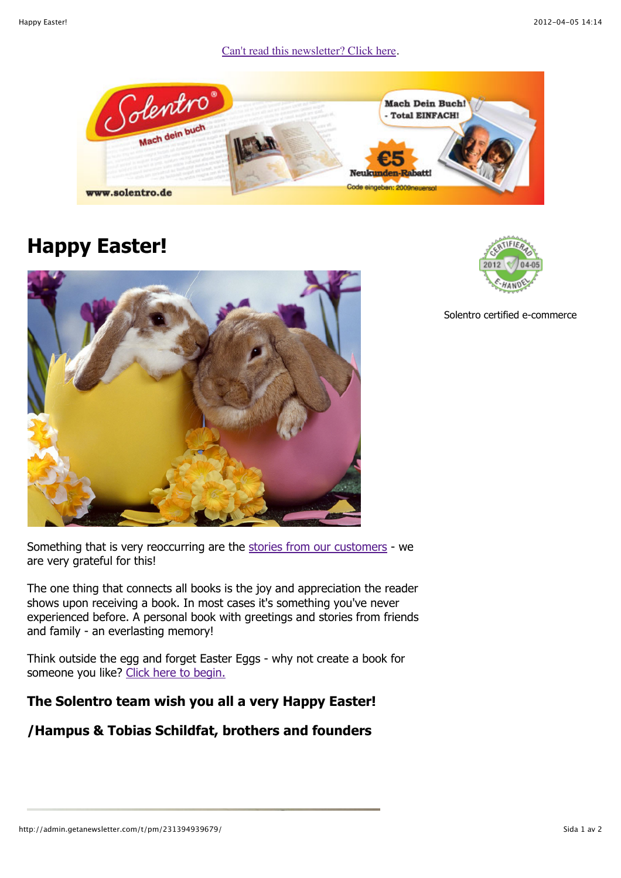## [Can't read this newsletter? Click here.](http://admin.getanewsletter.com/t/pm/231394939679/)



## **Happy Easter!**





Solentro certified e-commerce

Something that is very reoccurring are the [stories from our customers](http://www.solentro.de/buchkunden) - we are very grateful for this!

The one thing that connects all books is the joy and appreciation the reader shows upon receiving a book. In most cases it's something you've never experienced before. A personal book with greetings and stories from friends and family - an everlasting memory!

Think outside the egg and forget Easter Eggs - why not create a book for someone you like? [Click here to begin.](http://www.solentro.de/neuer_buchkunde)

## **The Solentro team wish you all a very Happy Easter!**

## **/Hampus & Tobias Schildfat, brothers and founders**